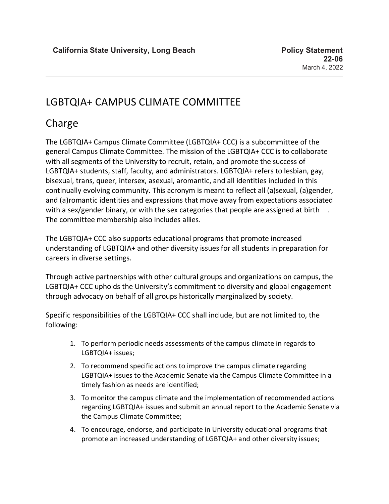## LGBTQIA+ CAMPUS CLIMATE COMMITTEE

# Charge

The LGBTQIA+ Campus Climate Committee (LGBTQIA+ CCC) is a subcommittee of the general Campus Climate Committee. The mission of the LGBTQIA+ CCC is to collaborate with all segments of the University to recruit, retain, and promote the success of LGBTQIA+ students, staff, faculty, and administrators. LGBTQIA+ refers to lesbian, gay, bisexual, trans, queer, intersex, asexual, aromantic, and all identities included in this continually evolving community. This acronym is meant to reflect all (a)sexual, (a)gender, and (a)romantic identities and expressions that move away from expectations associated with a sex/gender binary, or with the sex categories that people are assigned at birth. The committee membership also includes allies.

The LGBTQIA+ CCC also supports educational programs that promote increased understanding of LGBTQIA+ and other diversity issues for all students in preparation for careers in diverse settings.

Through active partnerships with other cultural groups and organizations on campus, the LGBTQIA+ CCC upholds the University's commitment to diversity and global engagement through advocacy on behalf of all groups historically marginalized by society.

Specific responsibilities of the LGBTQIA+ CCC shall include, but are not limited to, the following:

- 1. To perform periodic needs assessments of the campus climate in regards to LGBTQIA+ issues;
- 2. To recommend specific actions to improve the campus climate regarding LGBTQIA+ issues to the Academic Senate via the Campus Climate Committee in a timely fashion as needs are identified;
- 3. To monitor the campus climate and the implementation of recommended actions regarding LGBTQIA+ issues and submit an annual report to the Academic Senate via the Campus Climate Committee;
- 4. To encourage, endorse, and participate in University educational programs that promote an increased understanding of LGBTQIA+ and other diversity issues;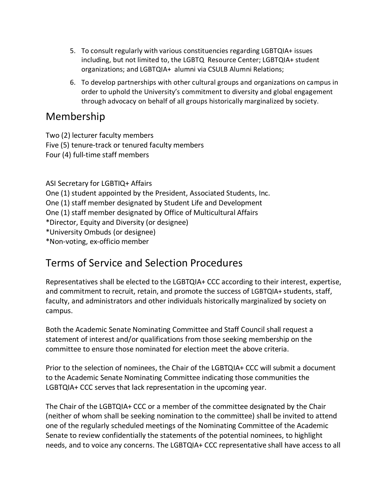- 5. To consult regularly with various constituencies regarding LGBTQIA+ issues including, but not limited to, the LGBTQ Resource Center; LGBTQIA+ student organizations; and LGBTQIA+ alumni via CSULB Alumni Relations;
- 6. To develop partnerships with other cultural groups and organizations on campus in order to uphold the University's commitment to diversity and global engagement through advocacy on behalf of all groups historically marginalized by society.

#### Membership

Two (2) lecturer faculty members Five (5) tenure-track or tenured faculty members

Four (4) full-time staff members

ASI Secretary for LGBTIQ+ Affairs One (1) student appointed by the President, Associated Students, Inc. One (1) staff member designated by Student Life and Development One (1) staff member designated by Office of Multicultural Affairs \*Director, Equity and Diversity (or designee) \*University Ombuds (or designee) \*Non-voting, ex-officio member

## Terms of Service and Selection Procedures

Representatives shall be elected to the LGBTQIA+ CCC according to their interest, expertise, and commitment to recruit, retain, and promote the success of LGBTQIA+ students, staff, faculty, and administrators and other individuals historically marginalized by society on campus.

Both the Academic Senate Nominating Committee and Staff Council shall request a statement of interest and/or qualifications from those seeking membership on the committee to ensure those nominated for election meet the above criteria.

Prior to the selection of nominees, the Chair of the LGBTQIA+ CCC will submit a document to the Academic Senate Nominating Committee indicating those communities the LGBTQIA+ CCC serves that lack representation in the upcoming year.

The Chair of the LGBTQIA+ CCC or a member of the committee designated by the Chair (neither of whom shall be seeking nomination to the committee) shall be invited to attend one of the regularly scheduled meetings of the Nominating Committee of the Academic Senate to review confidentially the statements of the potential nominees, to highlight needs, and to voice any concerns. The LGBTQIA+ CCC representative shall have access to all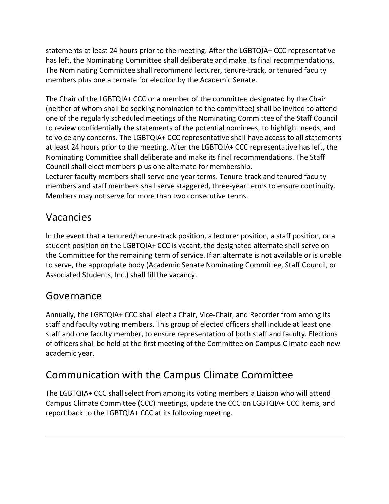statements at least 24 hours prior to the meeting. After the LGBTQIA+ CCC representative has left, the Nominating Committee shall deliberate and make its final recommendations. The Nominating Committee shall recommend lecturer, tenure-track, or tenured faculty members plus one alternate for election by the Academic Senate.

The Chair of the LGBTQIA+ CCC or a member of the committee designated by the Chair (neither of whom shall be seeking nomination to the committee) shall be invited to attend one of the regularly scheduled meetings of the Nominating Committee of the Staff Council to review confidentially the statements of the potential nominees, to highlight needs, and to voice any concerns. The LGBTQIA+ CCC representative shall have access to all statements at least 24 hours prior to the meeting. After the LGBTQIA+ CCC representative has left, the Nominating Committee shall deliberate and make its final recommendations. The Staff Council shall elect members plus one alternate for membership. Lecturer faculty members shall serve one-year terms. Tenure-track and tenured faculty

members and staff members shall serve staggered, three-year terms to ensure continuity. Members may not serve for more than two consecutive terms.

## Vacancies

In the event that a tenured/tenure-track position, a lecturer position, a staff position, or a student position on the LGBTQIA+ CCC is vacant, the designated alternate shall serve on the Committee for the remaining term of service. If an alternate is not available or is unable to serve, the appropriate body (Academic Senate Nominating Committee, Staff Council, or Associated Students, Inc.) shall fill the vacancy.

### Governance

Annually, the LGBTQIA+ CCC shall elect a Chair, Vice-Chair, and Recorder from among its staff and faculty voting members. This group of elected officers shall include at least one staff and one faculty member, to ensure representation of both staff and faculty. Elections of officers shall be held at the first meeting of the Committee on Campus Climate each new academic year.

# Communication with the Campus Climate Committee

The LGBTQIA+ CCC shall select from among its voting members a Liaison who will attend Campus Climate Committee (CCC) meetings, update the CCC on LGBTQIA+ CCC items, and report back to the LGBTQIA+ CCC at its following meeting.